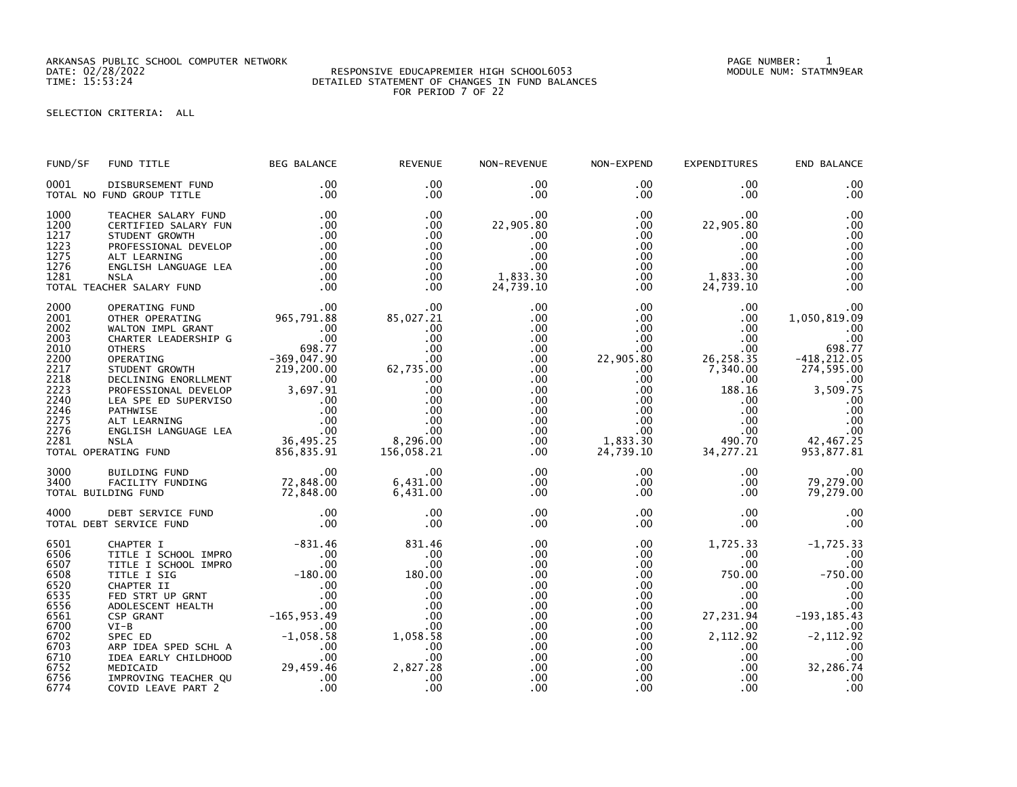ARKANSAS PUBLIC SCHOOL COMPUTER NETWORK PAGE NUMBER: 1

## DATE: 02/28/2022 RESPONSIVE EDUCAPREMIER HIGH SCHOOL6053 MODULE NUM: STATMN9EAR TIME: 15:53:24 DETAILED STATEMENT OF CHANGES IN FUND BALANCES FOR PERIOD 7 OF 22

SELECTION CRITERIA: ALL

| FUND/SF                                                                                                              | FUND TITLE                                                                                                                                                                                                                                                                                                                                             | <b>BEG BALANCE</b>                                                                                        | <b>REVENUE</b>                                                                                                                            | NON-REVENUE                                                                                                                                                                      | NON-EXPEND                                                                                                                                                                  | <b>EXPENDITURES</b>                                                                                                                                                              | END BALANCE                                                                                                                                                       |
|----------------------------------------------------------------------------------------------------------------------|--------------------------------------------------------------------------------------------------------------------------------------------------------------------------------------------------------------------------------------------------------------------------------------------------------------------------------------------------------|-----------------------------------------------------------------------------------------------------------|-------------------------------------------------------------------------------------------------------------------------------------------|----------------------------------------------------------------------------------------------------------------------------------------------------------------------------------|-----------------------------------------------------------------------------------------------------------------------------------------------------------------------------|----------------------------------------------------------------------------------------------------------------------------------------------------------------------------------|-------------------------------------------------------------------------------------------------------------------------------------------------------------------|
| 0001                                                                                                                 | DISBURSEMENT FUND<br>TOTAL NO FUND GROUP TITLE                                                                                                                                                                                                                                                                                                         | .00<br>.00                                                                                                | .00<br>$.00 \,$                                                                                                                           | $.00 \,$<br>.00                                                                                                                                                                  | $.00 \,$<br>.00                                                                                                                                                             | .00<br>$.00 \times$                                                                                                                                                              | .00<br>.00                                                                                                                                                        |
| 1000<br>1200<br>1217<br>1223<br>1275<br>1276<br>1281                                                                 | TEACHER SALARY FUND<br>CERTIFIED SALARY FUN<br>STUDENT GROWTH<br>PROFESSIONAL DEVELOP<br>ALT LEARNING<br>ENGLISH LANGUAGE LEA<br>NSLA<br>TOTAL TEACHER SALARY FUND                                                                                                                                                                                     | .00<br>.00<br>.00<br>$\begin{array}{c} .00\ .00\ .00 \end{array}$<br>.00<br>.00<br>.00                    | .00<br>$.00 \,$<br>.00<br>.00<br>$.00 \,$<br>$.00 \times$<br>$.00 \,$<br>$.00 \ \,$                                                       | $.00 \,$<br>22,905.80<br>.00<br>.00<br>.00<br>.00<br>1,833.30<br>24,739.10                                                                                                       | $.00 \,$<br>$.00 \,$<br>.00<br>$.00 \,$<br>.00<br>.00<br>$.00 \,$<br>$.00 \,$                                                                                               | $.00 \times$<br>22,905.80<br>.00<br>$.00 \times$<br>$.00 \,$<br>$.00 \,$<br>1,833.30<br>24,739.10                                                                                | .00<br>.00<br>.00<br>.00<br>.00<br>.00<br>.00<br>.00                                                                                                              |
| 2000<br>2001<br>2002<br>2003<br>2010<br>2200<br>2217<br>2218<br>2223<br>2240<br>2246<br>2275<br>2276<br>2281         | CHER SALARY FUND<br>OPERATING FUND<br>OTHER OPERATING<br>CHARTER LEADERSHIP G<br>CHARTER LEADERSHIP G<br>OTHERS<br>OTHERS<br>OPERATING<br>OTHERS<br>OPERATING<br>OTHERS<br>OPERATING<br>OF PROFESSIONAL DEVELUENT<br>PROFESSIONAL DEVELOP<br>PROFESSIONAL<br>TOTAL OPERATING FUND                                                                      |                                                                                                           | $.00 \,$<br>00.<br>85,027.21<br>.00<br>.00<br>.00<br>.00<br>62,735.00<br>.00<br>.00<br>.00<br>.00<br>.00<br>.00<br>8,296.00<br>156,058.21 | $.00 \,$<br>$.00 \,$<br>$.00 \,$<br>$.00 \,$<br>$.00 \,$<br>$.00 \,$<br>$.00 \,$<br>$.00 \,$<br>$.00 \,$<br>$.00 \,$<br>$.00 \,$<br>$.00 \,$<br>$.00 \,$<br>$.00 \,$<br>$.00 \,$ | $.00 \,$<br>$.00 \,$<br>$.00 \,$<br>$.00 \,$<br>$.00 \,$<br>22,905.80<br>$.00 \,$<br>$.00 \,$<br>$.00 \,$<br>$.00\,$<br>$.00 \,$<br>$.00\,$<br>.00<br>1,833.30<br>24,739.10 | $.00 \,$<br>$.00 \,$<br>$.00 \,$<br>.00<br>$.00 \,$<br>26, 258.35<br>7,340.00<br>$.00 \,$<br>188.16<br>$.00 \,$<br>$.00 \,$<br>.00<br>.00<br>490.70<br>34, 277. 21               | .00<br>1,050,819.09<br>.00<br>.00<br>698.77<br>$-418, 212.05$<br>274,595.00<br>.00<br>3,509.75<br>.00<br>.00<br>.00<br>$\overline{00}$<br>42,467.25<br>953,877.81 |
| 3000<br>3400                                                                                                         | 00. 8UILDING FUND<br>FACILITY FUNDING 72,848.00<br>DING FUND 72,848.00<br>TOTAL BUILDING FUND                                                                                                                                                                                                                                                          |                                                                                                           | .00<br>6,431.00<br>6,431.00                                                                                                               | $.00 \,$<br>$.00 \,$<br>$.00 \,$                                                                                                                                                 | $.00 \ \,$<br>$.00 \,$<br>$.00 \,$                                                                                                                                          | $.00 \,$<br>$.00 \,$<br>$.00 \,$                                                                                                                                                 | .00<br>79,279.00<br>79,279.00                                                                                                                                     |
| 4000                                                                                                                 | TOTAL DEBT SERVICE FUND                                                                                                                                                                                                                                                                                                                                |                                                                                                           | .00<br>.00                                                                                                                                | .00<br>$.00 \,$                                                                                                                                                                  | $.00 \,$<br>.00                                                                                                                                                             | $.00 \,$<br>$.00 \,$                                                                                                                                                             | .00<br>.00                                                                                                                                                        |
| 6501<br>6506<br>6507<br>6508<br>6520<br>6535<br>6556<br>6561<br>6700<br>6702<br>6703<br>6710<br>6752<br>6756<br>6774 | -831.46<br>TITLE I SCHOOL IMPRO 00<br>TITLE I SCHOOL IMPRO 00<br>TITLE I SCHOOL IMPRO 00<br>TITLE I SIG 00<br>CHAPTER II 00<br>CHAPTER II 00<br>ADOLESCENT HEALTH 00<br>CSP GRANT 00<br>CSP GRANT 165,953.49<br>VI-B 00<br>$VI-B$<br>SPEC ED<br>ARP IDEA SPED SCHL A<br>IDEA EARLY CHILDHOOD<br>MEDICAID<br>IMPROVING TEACHER QU<br>COVID LEAVE PART 2 | $-831.46$<br>.00<br>$\begin{array}{r} .00\ -1,058.58\ 00\ 00\ 00\ 29,459.46\ 00\ 00\ 00\ 00\ \end{array}$ | 831.46<br>.00<br>.00<br>180.00<br>.00<br>.00<br>.00<br>.00<br>.00<br>1,058.58<br>.00<br>.00<br>2,827.28<br>.00<br>.00                     | $.00 \,$<br>$.00 \,$<br>.00<br>.00<br>.00<br>.00<br>$.00 \,$<br>$.00 \,$<br>$.00 \,$<br>$.00 \,$<br>$.00 \,$<br>$.00 \,$<br>.00<br>.00<br>.00                                    | $.00 \,$<br>$.00 \,$<br>$.00 \,$<br>.00<br>$.00\,$<br>$.00 \,$<br>$.00 \,$<br>.00<br>$.00 \,$<br>$.00 \,$<br>.00<br>$.00\,$<br>$.00 \,$<br>$.00 \,$<br>.00                  | 1,725.33<br>$.00 \cdot$<br>.00<br>750.00<br>$.00 \,$<br>$.00 \,$<br>$.00 \,$<br>27,231.94<br>$.00 \cdot$<br>2,112.92<br>$.00 \,$<br>$.00 \,$<br>$.00 \,$<br>$.00 \,$<br>$.00 \,$ | $-1,725.33$<br>.00<br>.00<br>$-750.00$<br>.00<br>.00<br>.00<br>$-193, 185.43$<br>.00<br>$-2, 112.92$<br>.00<br>.00<br>32,286.74<br>.00<br>.00                     |